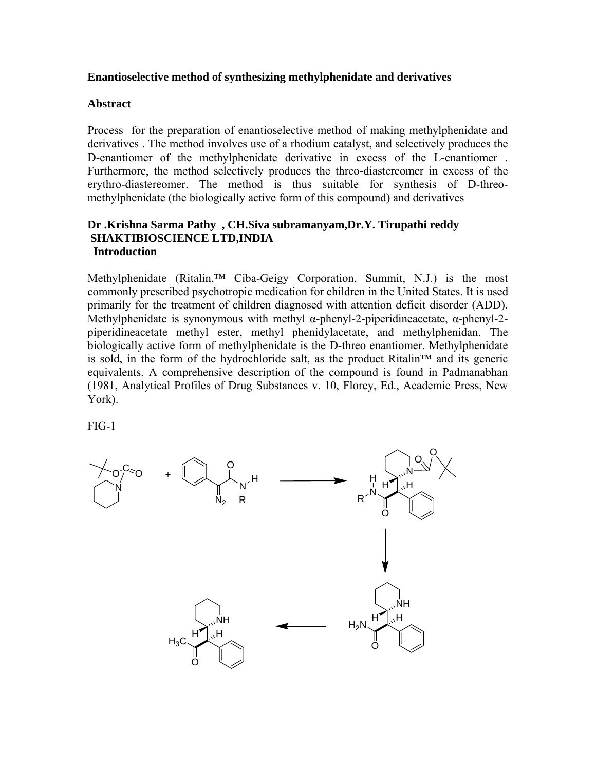## **Enantioselective method of synthesizing methylphenidate and derivatives**

## **Abstract**

Process for the preparation of enantioselective method of making methylphenidate and derivatives . The method involves use of a rhodium catalyst, and selectively produces the D-enantiomer of the methylphenidate derivative in excess of the L-enantiomer . Furthermore, the method selectively produces the threo-diastereomer in excess of the erythro-diastereomer. The method is thus suitable for synthesis of D-threomethylphenidate (the biologically active form of this compound) and derivatives

## **Dr .Krishna Sarma Pathy , CH.Siva subramanyam,Dr.Y. Tirupathi reddy SHAKTIBIOSCIENCE LTD,INDIA Introduction**

Methylphenidate (Ritalin,<sup>™</sup> Ciba-Geigy Corporation, Summit, N.J.) is the most commonly prescribed psychotropic medication for children in the United States. It is used primarily for the treatment of children diagnosed with attention deficit disorder (ADD). Methylphenidate is synonymous with methyl α-phenyl-2-piperidineacetate, α-phenyl-2 piperidineacetate methyl ester, methyl phenidylacetate, and methylphenidan. The biologically active form of methylphenidate is the D-threo enantiomer. Methylphenidate is sold, in the form of the hydrochloride salt, as the product Ritalin™ and its generic equivalents. A comprehensive description of the compound is found in Padmanabhan (1981, Analytical Profiles of Drug Substances v. 10, Florey, Ed., Academic Press, New York).

FIG-1

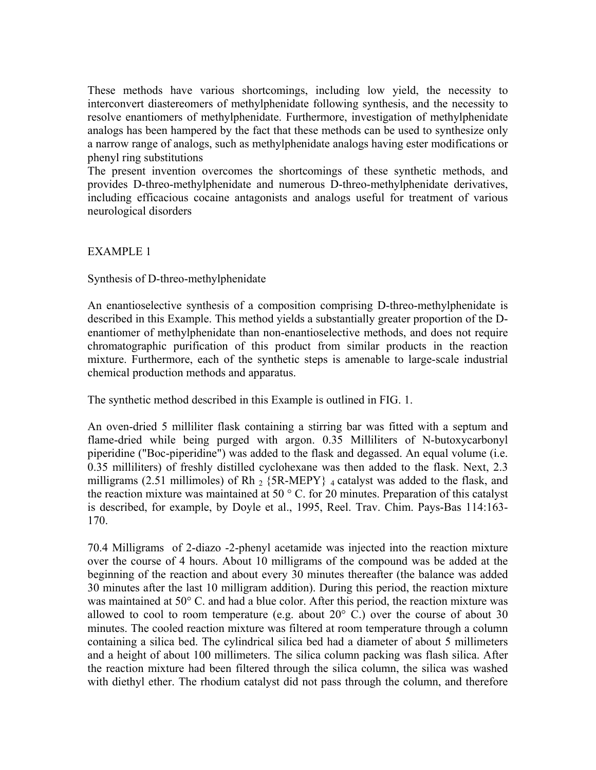These methods have various shortcomings, including low yield, the necessity to interconvert diastereomers of methylphenidate following synthesis, and the necessity to resolve enantiomers of methylphenidate. Furthermore, investigation of methylphenidate analogs has been hampered by the fact that these methods can be used to synthesize only a narrow range of analogs, such as methylphenidate analogs having ester modifications or phenyl ring substitutions

The present invention overcomes the shortcomings of these synthetic methods, and provides D-threo-methylphenidate and numerous D-threo-methylphenidate derivatives, including efficacious cocaine antagonists and analogs useful for treatment of various neurological disorders

EXAMPLE 1

Synthesis of D-threo-methylphenidate

An enantioselective synthesis of a composition comprising D-threo-methylphenidate is described in this Example. This method yields a substantially greater proportion of the Denantiomer of methylphenidate than non-enantioselective methods, and does not require chromatographic purification of this product from similar products in the reaction mixture. Furthermore, each of the synthetic steps is amenable to large-scale industrial chemical production methods and apparatus.

The synthetic method described in this Example is outlined in FIG. 1.

An oven-dried 5 milliliter flask containing a stirring bar was fitted with a septum and flame-dried while being purged with argon. 0.35 Milliliters of N-butoxycarbonyl piperidine ("Boc-piperidine") was added to the flask and degassed. An equal volume (i.e. 0.35 milliliters) of freshly distilled cyclohexane was then added to the flask. Next, 2.3 milligrams (2.51 millimoles) of Rh  $_2$  {5R-MEPY}  $_4$  catalyst was added to the flask, and the reaction mixture was maintained at 50 ° C. for 20 minutes. Preparation of this catalyst is described, for example, by Doyle et al., 1995, Reel. Trav. Chim. Pays-Bas 114:163- 170.

70.4 Milligrams of 2-diazo -2-phenyl acetamide was injected into the reaction mixture over the course of 4 hours. About 10 milligrams of the compound was be added at the beginning of the reaction and about every 30 minutes thereafter (the balance was added 30 minutes after the last 10 milligram addition). During this period, the reaction mixture was maintained at 50° C. and had a blue color. After this period, the reaction mixture was allowed to cool to room temperature (e.g. about  $20^{\circ}$  C.) over the course of about 30 minutes. The cooled reaction mixture was filtered at room temperature through a column containing a silica bed. The cylindrical silica bed had a diameter of about 5 millimeters and a height of about 100 millimeters. The silica column packing was flash silica. After the reaction mixture had been filtered through the silica column, the silica was washed with diethyl ether. The rhodium catalyst did not pass through the column, and therefore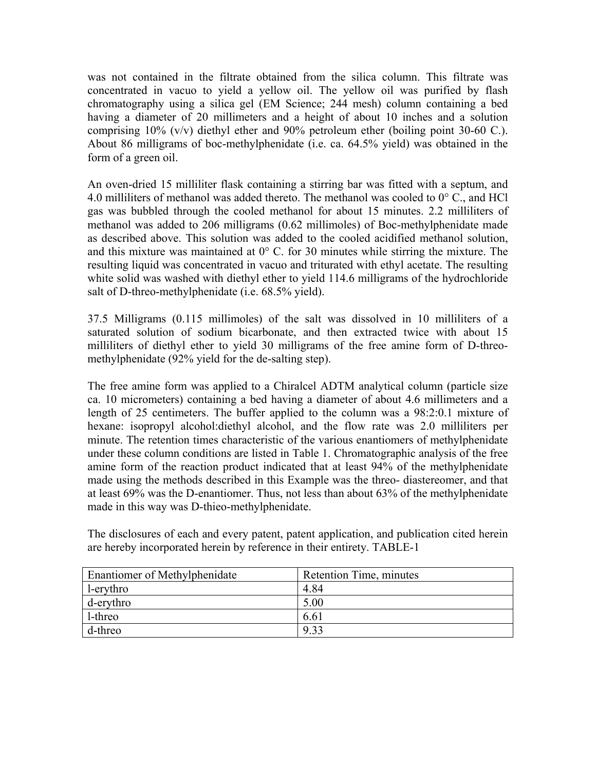was not contained in the filtrate obtained from the silica column. This filtrate was concentrated in vacuo to yield a yellow oil. The yellow oil was purified by flash chromatography using a silica gel (EM Science; 244 mesh) column containing a bed having a diameter of 20 millimeters and a height of about 10 inches and a solution comprising  $10\%$  (v/v) diethyl ether and 90% petroleum ether (boiling point 30-60 C.). About 86 milligrams of boc-methylphenidate (i.e. ca. 64.5% yield) was obtained in the form of a green oil.

An oven-dried 15 milliliter flask containing a stirring bar was fitted with a septum, and 4.0 milliliters of methanol was added thereto. The methanol was cooled to  $0^{\circ}$  C., and HCl gas was bubbled through the cooled methanol for about 15 minutes. 2.2 milliliters of methanol was added to 206 milligrams (0.62 millimoles) of Boc-methylphenidate made as described above. This solution was added to the cooled acidified methanol solution, and this mixture was maintained at  $0^{\circ}$  C. for 30 minutes while stirring the mixture. The resulting liquid was concentrated in vacuo and triturated with ethyl acetate. The resulting white solid was washed with diethyl ether to yield 114.6 milligrams of the hydrochloride salt of D-threo-methylphenidate (i.e. 68.5% yield).

37.5 Milligrams (0.115 millimoles) of the salt was dissolved in 10 milliliters of a saturated solution of sodium bicarbonate, and then extracted twice with about 15 milliliters of diethyl ether to yield 30 milligrams of the free amine form of D-threomethylphenidate (92% yield for the de-salting step).

The free amine form was applied to a Chiralcel ADTM analytical column (particle size ca. 10 micrometers) containing a bed having a diameter of about 4.6 millimeters and a length of 25 centimeters. The buffer applied to the column was a 98:2:0.1 mixture of hexane: isopropyl alcohol:diethyl alcohol, and the flow rate was 2.0 milliliters per minute. The retention times characteristic of the various enantiomers of methylphenidate under these column conditions are listed in Table 1. Chromatographic analysis of the free amine form of the reaction product indicated that at least 94% of the methylphenidate made using the methods described in this Example was the threo- diastereomer, and that at least 69% was the D-enantiomer. Thus, not less than about 63% of the methylphenidate made in this way was D-thieo-methylphenidate.

The disclosures of each and every patent, patent application, and publication cited herein are hereby incorporated herein by reference in their entirety. TABLE-1

| <b>Enantiomer of Methylphenidate</b> | Retention Time, minutes |
|--------------------------------------|-------------------------|
| l-erythro                            | 4.84                    |
| $d$ -erythro                         | 5.00                    |
| l-threo                              | 6.61                    |
| d-threo                              | 9.33                    |